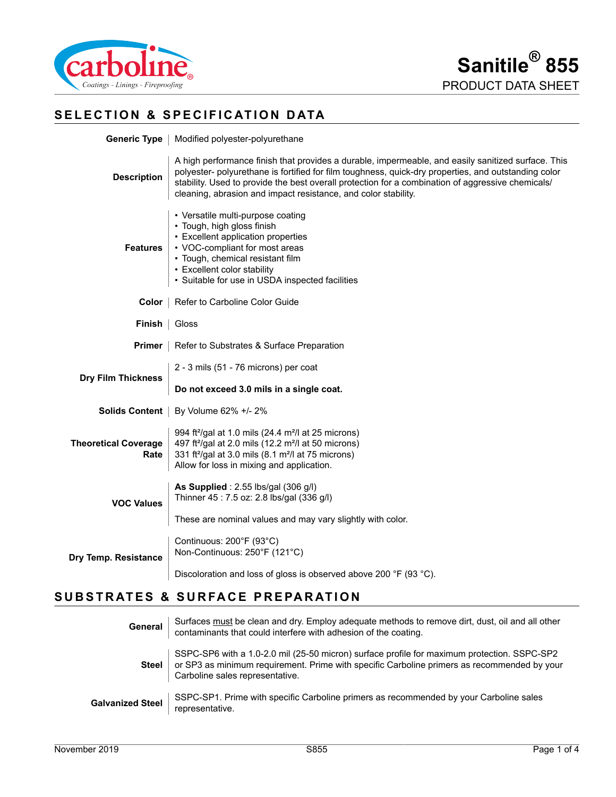

# **SELECTION & SPECIFICATION DATA**

| Generic Type                           | Modified polyester-polyurethane                                                                                                                                                                                                                                                                                                                                                   |  |  |
|----------------------------------------|-----------------------------------------------------------------------------------------------------------------------------------------------------------------------------------------------------------------------------------------------------------------------------------------------------------------------------------------------------------------------------------|--|--|
| <b>Description</b>                     | A high performance finish that provides a durable, impermeable, and easily sanitized surface. This<br>polyester- polyurethane is fortified for film toughness, quick-dry properties, and outstanding color<br>stability. Used to provide the best overall protection for a combination of aggressive chemicals/<br>cleaning, abrasion and impact resistance, and color stability. |  |  |
| <b>Features</b>                        | • Versatile multi-purpose coating<br>• Tough, high gloss finish<br>• Excellent application properties<br>• VOC-compliant for most areas<br>• Tough, chemical resistant film<br>• Excellent color stability<br>• Suitable for use in USDA inspected facilities                                                                                                                     |  |  |
| Color                                  | Refer to Carboline Color Guide                                                                                                                                                                                                                                                                                                                                                    |  |  |
| <b>Finish</b>                          | Gloss                                                                                                                                                                                                                                                                                                                                                                             |  |  |
| <b>Primer</b>                          | Refer to Substrates & Surface Preparation                                                                                                                                                                                                                                                                                                                                         |  |  |
| <b>Dry Film Thickness</b>              | 2 - 3 mils (51 - 76 microns) per coat                                                                                                                                                                                                                                                                                                                                             |  |  |
|                                        | Do not exceed 3.0 mils in a single coat.                                                                                                                                                                                                                                                                                                                                          |  |  |
| Solids Content<br>By Volume 62% +/- 2% |                                                                                                                                                                                                                                                                                                                                                                                   |  |  |
| <b>Theoretical Coverage</b><br>Rate    | 994 ft <sup>2</sup> /gal at 1.0 mils (24.4 m <sup>2</sup> /l at 25 microns)<br>497 ft <sup>2</sup> /gal at 2.0 mils (12.2 m <sup>2</sup> /l at 50 microns)<br>331 ft <sup>2</sup> /gal at 3.0 mils (8.1 m <sup>2</sup> /l at 75 microns)<br>Allow for loss in mixing and application.                                                                                             |  |  |
| <b>VOC Values</b>                      | As Supplied: 2.55 lbs/gal (306 g/l)<br>Thinner 45: 7.5 oz: 2.8 lbs/gal (336 g/l)                                                                                                                                                                                                                                                                                                  |  |  |
|                                        | These are nominal values and may vary slightly with color.                                                                                                                                                                                                                                                                                                                        |  |  |
| Dry Temp. Resistance                   | Continuous: 200°F (93°C)<br>Non-Continuous: 250°F (121°C)                                                                                                                                                                                                                                                                                                                         |  |  |
|                                        | Discoloration and loss of gloss is observed above 200 °F (93 °C).                                                                                                                                                                                                                                                                                                                 |  |  |

# **SUBSTRATES & SURFACE PREPARATION**

| General                 | Surfaces must be clean and dry. Employ adequate methods to remove dirt, dust, oil and all other contaminants that could interfere with adhesion of the coating.                                                               |
|-------------------------|-------------------------------------------------------------------------------------------------------------------------------------------------------------------------------------------------------------------------------|
| <b>Steel</b>            | SSPC-SP6 with a 1.0-2.0 mil (25-50 micron) surface profile for maximum protection. SSPC-SP2<br>or SP3 as minimum requirement. Prime with specific Carboline primers as recommended by your<br>Carboline sales representative. |
| <b>Galvanized Steel</b> | SSPC-SP1. Prime with specific Carboline primers as recommended by your Carboline sales<br>representative.                                                                                                                     |

**Dry**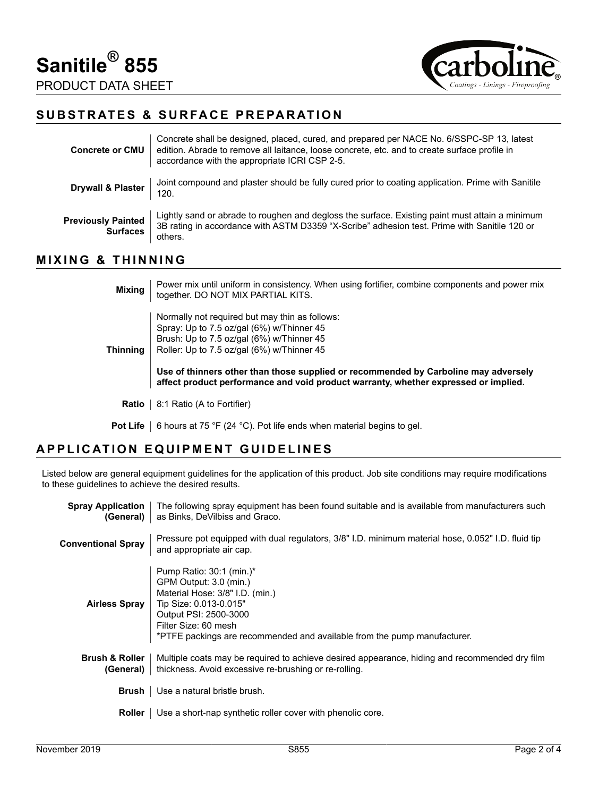

### **SUBSTRATES & SURFACE PREPARATION**

| <b>Concrete or CMU</b>                       | Concrete shall be designed, placed, cured, and prepared per NACE No. 6/SSPC-SP 13, latest<br>edition. Abrade to remove all laitance, loose concrete, etc. and to create surface profile in<br>accordance with the appropriate ICRI CSP 2-5. |
|----------------------------------------------|---------------------------------------------------------------------------------------------------------------------------------------------------------------------------------------------------------------------------------------------|
| <b>Drywall &amp; Plaster</b>                 | Joint compound and plaster should be fully cured prior to coating application. Prime with Sanitile<br>120.                                                                                                                                  |
| <b>Previously Painted</b><br><b>Surfaces</b> | Lightly sand or abrade to roughen and degloss the surface. Existing paint must attain a minimum<br>3B rating in accordance with ASTM D3359 "X-Scribe" adhesion test. Prime with Sanitile 120 or<br>others.                                  |

### **MIXING & THINNING**

| <b>Mixing</b>   | Power mix until uniform in consistency. When using fortifier, combine components and power mix<br>together. DO NOT MIX PARTIAL KITS.                                                                                                                                                                                                                                 |
|-----------------|----------------------------------------------------------------------------------------------------------------------------------------------------------------------------------------------------------------------------------------------------------------------------------------------------------------------------------------------------------------------|
| <b>Thinning</b> | Normally not required but may thin as follows:<br>Spray: Up to 7.5 oz/gal (6%) w/Thinner 45<br>Brush: Up to 7.5 oz/gal (6%) w/Thinner 45<br>Roller: Up to 7.5 oz/gal (6%) w/Thinner 45<br>Use of thinners other than those supplied or recommended by Carboline may adversely<br>affect product performance and void product warranty, whether expressed or implied. |
| Ratio           | 8:1 Ratio (A to Fortifier)                                                                                                                                                                                                                                                                                                                                           |

**Pot Life** | 6 hours at 75 °F (24 °C). Pot life ends when material begins to gel.

#### **APPLICATION EQUIPMENT GUIDELINES**

Listed below are general equipment guidelines for the application of this product. Job site conditions may require modifications to these guidelines to achieve the desired results.

| <b>Spray Application</b><br>(General)  | The following spray equipment has been found suitable and is available from manufacturers such<br>as Binks, DeVilbiss and Graco.                                                                                                             |  |
|----------------------------------------|----------------------------------------------------------------------------------------------------------------------------------------------------------------------------------------------------------------------------------------------|--|
| <b>Conventional Spray</b>              | Pressure pot equipped with dual regulators, 3/8" I.D. minimum material hose, 0.052" I.D. fluid tip<br>and appropriate air cap.                                                                                                               |  |
| <b>Airless Spray</b>                   | Pump Ratio: 30:1 (min.)*<br>GPM Output: 3.0 (min.)<br>Material Hose: 3/8" I.D. (min.)<br>Tip Size: 0.013-0.015"<br>Output PSI: 2500-3000<br>Filter Size: 60 mesh<br>*PTFE packings are recommended and available from the pump manufacturer. |  |
| <b>Brush &amp; Roller</b><br>(General) | Multiple coats may be required to achieve desired appearance, hiding and recommended dry film<br>thickness. Avoid excessive re-brushing or re-rolling.                                                                                       |  |
| Brush                                  | Use a natural bristle brush.                                                                                                                                                                                                                 |  |
| Roller                                 | Use a short-nap synthetic roller cover with phenolic core.                                                                                                                                                                                   |  |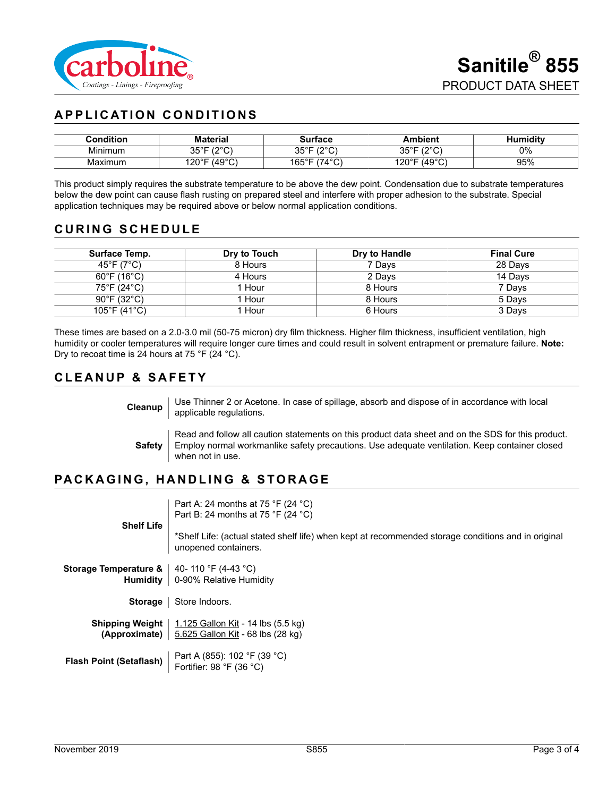

# **APPLICATION CONDITIONS**

| <b>Condition</b> | <b>Material</b>                | Surface                             | <b>Ambient</b>                | lumiditv |
|------------------|--------------------------------|-------------------------------------|-------------------------------|----------|
| Minimum          | 1000<br><b>OEOE</b><br>ບບ<br>◡ | 1000<br>ว⊏∘⊏<br>ູບບ                 | 100 <sub>o</sub><br>∩г∘г<br>ັ | 0%       |
| Maximum          | (49°C)<br>⊐∘∩יו<br>J.<br>~~    | $(74^{\circ}$ C)<br>$165^{\circ}$ F | $(49^{\circ}C)$<br>120°F      | 95%      |

This product simply requires the substrate temperature to be above the dew point. Condensation due to substrate temperatures below the dew point can cause flash rusting on prepared steel and interfere with proper adhesion to the substrate. Special application techniques may be required above or below normal application conditions.

# **CURING SCHEDULE**

| Surface Temp.                     | Dry to Touch | Dry to Handle | <b>Final Cure</b> |
|-----------------------------------|--------------|---------------|-------------------|
| 45°F (7°C)                        | 8 Hours      | 7 Days        | 28 Days           |
| $60^{\circ}$ F (16 $^{\circ}$ C)  | 4 Hours      | 2 Days        | 14 Days           |
| 75°F (24°C)                       | Hour         | 8 Hours       | 7 Days            |
| $90^\circ$ F (32 $^\circ$ C)      | Hour         | 8 Hours       | 5 Days            |
| $105^{\circ}$ F (41 $^{\circ}$ C) | Hour         | 6 Hours       | 3 Days            |

These times are based on a 2.0-3.0 mil (50-75 micron) dry film thickness. Higher film thickness, insufficient ventilation, high humidity or cooler temperatures will require longer cure times and could result in solvent entrapment or premature failure. **Note:** Dry to recoat time is 24 hours at 75 °F (24 °C).

# **CLEANUP & SAFETY**

**Cleanup** Use Thinner 2 or Acetone. In case of spillage, absorb and dispose of in accordance with local applicable regulations.

**Safety** Read and follow all caution statements on this product data sheet and on the SDS for this product. Employ normal workmanlike safety precautions. Use adequate ventilation. Keep container closed when not in use.

# **PACKAGING, HANDLING & STORAGE**

|                                | Part A: 24 months at 75 °F (24 °C)<br>Part B: 24 months at 75 °F (24 °C)                                                    |
|--------------------------------|-----------------------------------------------------------------------------------------------------------------------------|
| <b>Shelf Life</b>              | *Shelf Life: (actual stated shelf life) when kept at recommended storage conditions and in original<br>unopened containers. |
| Storage Temperature &          | 40- 110 °F (4-43 °C)                                                                                                        |
| Humidity                       | 0-90% Relative Humidity                                                                                                     |
| <b>Storage</b>                 | Store Indoors.                                                                                                              |
| Shipping Weight                | 1.125 Gallon Kit - 14 lbs (5.5 kg)                                                                                          |
| (Approximate)                  | 5.625 Gallon Kit - 68 lbs (28 kg)                                                                                           |
| <b>Flash Point (Setaflash)</b> | Part A (855): 102 °F (39 °C)<br>Fortifier: 98 $\degree$ F (36 $\degree$ C)                                                  |